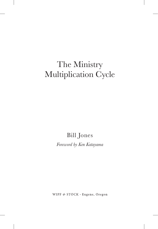Bill Jones

*Foreword by Ken Katayama*

WIPF & STOCK · Eugene, Oregon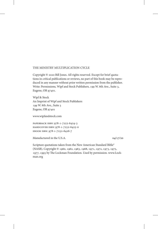#### THE MINISTRY MULTIPLICATION CYCLE

Copyright © 2020 Bill Jones. All rights reserved. Except for brief quotations in critical publications or reviews, no part of this book may be reproduced in any manner without prior written permission from the publisher. Write: Permissions, Wipf and Stock Publishers, 199 W. 8th Ave., Suite 3, Eugene, OR 97401.

Wipf & Stock An Imprint of Wipf and Stock Publishers 199 W. 8th Ave., Suite 3 Eugene, OR 97401

www.wipfandstock.com

paperback isbn: 978-1-7252-6424-3 hardcover isbn: 978-1-7252-6425-0 ebook isbn: 978-1-7252-6426-7

Manufactured in the U.S.A. 04/17/20

Scripture quotations taken from the New American Standard Bible® (NASB), Copyright © 1960, 1962, 1963, 1968, 1971, 1972, 1973, 1975, 1977, 1995 by The Lockman Foundation. Used by permission. www.Lockman.org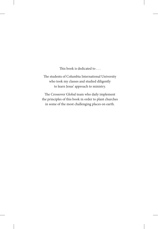This book is dedicated to . . .

The students of Columbia International University who took my classes and studied diligently to learn Jesus' approach to ministry.

The Crossover Global team who daily implement the principles of this book in order to plant churches in some of the most challenging places on earth.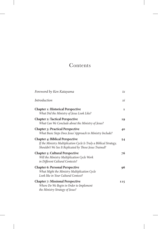## Contents

| Foreword by Ken Katayama                                                                                                                                               | $i\chi$      |
|------------------------------------------------------------------------------------------------------------------------------------------------------------------------|--------------|
| Introduction                                                                                                                                                           | хi           |
| <b>Chapter 1: Historical Perspective</b><br>What Did the Ministry of Jesus Look Like?                                                                                  | $\mathbf{1}$ |
| <b>Chapter 2: Tactical Perspective</b><br>What Can We Conclude about the Ministry of Jesus?                                                                            | 19           |
| <b>Chapter 3: Practical Perspective</b><br>What Basic Steps Does Jesus' Approach to Ministry Include?                                                                  | 40           |
| <b>Chapter 4: Biblical Perspective</b><br>If the Ministry Multiplication Cycle Is Truly a Biblical Strategy,<br>Shouldn't We See It Replicated by Those Jesus Trained? | 54           |
| <b>Chapter 5: Cultural Perspective</b><br>Will the Ministry Multiplication Cycle Work<br>in Different Cultural Contexts?                                               | 76           |
| <b>Chapter 6: Personal Perspective</b><br>What Might the Ministry Multiplication Cycle<br>Look like in Your Cultural Context?                                          | 96           |
| <b>Chapter 7: Missional Perspective</b><br>Where Do We Begin in Order to Implement<br>the Ministry Strategy of Jesus?                                                  | 115          |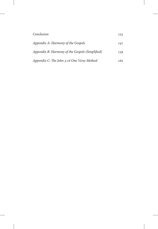| Conclusion                                      | 123 |
|-------------------------------------------------|-----|
| Appendix A: Harmony of the Gospels              | 141 |
| Appendix B: Harmony of the Gospels (Simplified) | 159 |
| Appendix C: The John 3:16 One Verse Method      | 162 |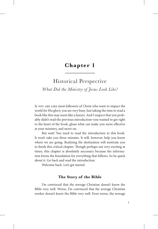## **Chapter 1**

## Historical Perspective

*What Did the Ministry of Jesus Look Like?*

If you are like most followers of Christ who want to impact the world for His glory, you are very busy. Just taking the time to read a book like this may seem like a luxury. And I suspect that you probably didn't read the previous introduction-you wanted to get right to the heart of the book, glean what can make you more effective at your ministry, and move on.

But wait! You need to read the introduction to this book. It won't take you three minutes. It will, however, help you know where we are going. Realizing the destination will motivate you to finish this critical chapter. Though perhaps not very exciting at times, this chapter is absolutely necessary because the information forms the foundation for everything that follows. So be quick about it. Go back and read the introduction.

Welcome back. Let's get started.

## **The Story of the Bible**

I'm convinced that the average Christian doesn't know the Bible very well. Worse, I'm convinced that the average Christian worker doesn't know the Bible very well. Even worse, the average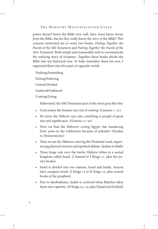pastor doesn't know the Bible very well. Sure, most know *stories from* the Bible, but do they really know the *story of* the Bible? This concern motivated me to write two books, *Putting Together the Puzzle of the Old Testament* and *Putting Together the Puzzle of the New Testament*. Both simply and memorably seek to communicate the unifying story of Scripture. Together these books divide the Bible into ten historical eras. To help remember these ten eras, I organized them into five pairs of opposite words:

Nothing/Something Exiting/Entering United/Divided Scattered/Gathered Coming/Going

Elaborated, the Old Testament part of the story goes like this:

- God creates the human race out of *nothing*. (Genesis 1–11)
- He turns the Hebrew race into *something*–a people of great size and significance. (Genesis 12–50)
- Next we find the Hebrews *exiting* Egypt, but wandering forty years in the wilderness because of unbelief. (Exodus to Deuteronomy)
- Then we see the Hebrews *entering* the Promised Land, experiencing physical victories and spiritual defeats. (Joshua to Ruth)
- Three kings rule over the twelve Hebrew tribes in a *united* kingdom called Israel. (I Samuel to I Kings 11, plus the poetry books)
- Israel is *divided* into two nations, Israel and Judah. Assyria later conquers Israel. (I Kings 12 to II Kings 23, plus several books of the prophets)
- Due to disobedience, Judah is *scattered* when Babylon takes them into captivity. (II Kings 24–25, plus Daniel and Ezekiel)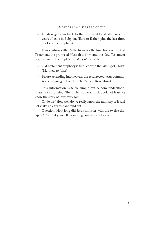• Judah is *gathered* back to the Promised Land after seventy years of exile in Babylon. (Ezra to Esther, plus the last three books of the prophets)

Four centuries after Malachi writes the final book of the Old Testament, the promised Messiah is born and the New Testament begins. Two eras complete the *story of* the Bible:

- Old Testament prophecy is fulfilled with the *coming* of Christ. (Matthew to John)
- Before ascending into heaven, the resurrected Jesus commissions the *going* of the Church. (Acts to Revelation)

This information is fairly simple, yet seldom understood. That's not surprising. The Bible is a very thick book. At least we know the story of Jesus very well.

Or do we? How well do we really know the ministry of Jesus? Let's take an easy test and find out.

Question: How long did Jesus minister with the twelve disciples? Commit yourself by writing your answer below.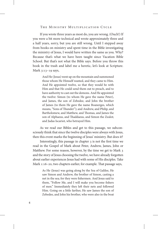If you wrote three years as most do, you are wrong. (Ouch!) If you were a bit more technical and wrote approximately three and a half years, sorry, but you are still wrong. Until I stepped away from books on ministry and spent time in the Bible investigating the ministry of Jesus, I would have written the same as you. Why? Because that's what we have been taught since Vacation Bible School. But that's not what the Bible says. Before you throw this book in the trash and label me a heretic, let's look at Scripture. Mark 3:13–19 says,

> And He (Jesus) went up on the mountain and summoned those whom He Himself wanted, and they came to Him. And He appointed twelve, so that they would be with Him and that He could send them out to preach, and to have authority to cast out the demons. And He appointed the twelve: Simon (to whom He gave the name Peter), and James, the son of Zebedee, and John the brother of James (to them He gave the name Boanerges, which means, "Sons of Thunder"); and Andrew, and Philip, and Bartholomew, and Matthew, and Thomas, and James the son of Alphaeus, and Thaddaeus, and Simon the Zealot; and Judas Iscariot, who betrayed Him.

As we read our Bibles and get to this passage, we subconsciously think that since the twelve disciples were always with Jesus, then this event marks the beginning of Jesus' ministry. But does it?

Interestingly, this passage in chapter 3 is not the first time we read in the Gospel of Mark about Peter, Andrew, James, John or Matthew. For some reason, however, by the time we get to Mark 3 and the story of Jesus choosing the twelve, we have already forgotten about earlier experiences Jesus had with some of His disciples. Take Mark 1:16–20, two chapters earlier, for example. That passage says,

> As He (Jesus) was going along by the Sea of Galilee, He saw Simon and Andrew, the brother of Simon, casting a net in the sea; for they were fishermen. And Jesus said to them, "Follow Me, and I will make you become fishers of men." Immediately they left their nets and followed Him. Going on a little farther, He saw James the son of Zebedee, and John his brother, who were also in the boat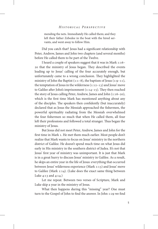mending the nets. Immediately He called them; and they left their father Zebedee in the boat with the hired servants, and went away to follow Him.

Did you catch that? Jesus had a significant relationship with Peter, Andrew, James and John two chapters (and several months) before He called them to be part of the Twelve.

I heard a couple of speakers suggest that it was in Mark 1:16– 20 that the ministry of Jesus began. They described the events leading up to Jesus' calling of the four accurately enough, but unfortunately came to a wrong conclusion. They highlighted the ministry of John the Baptist  $(1:1-8)$ , the baptism of Jesus  $(1:9-11)$ , the temptation of Jesus in the wilderness  $(1:12-13)$  and Jesus' move to Galilee after John's imprisonment (1:14–15). They then reached the story of Jesus calling Peter, Andrew, James and John (1:16–20), which is the first time Mark has mentioned anything about any of the disciples. The speakers then confidently (but inaccurately) declared that as Jesus the Messiah approached the fishermen, the powerful spirituality radiating from the Messiah overwhelmed the four fishermen so much that when He called them, all four left their professions and followed a total stranger. Thus began the ministry of Jesus.

But Jesus did not meet Peter, Andrew, James and John for the first time in Mark 1. He met them much earlier. Most people don't realize that Mark wants to focus on Jesus' ministry in the northern district of Galilee. He doesn't spend much time on what Jesus did early in His ministry in the southern district of Judea. It's not that Jesus' first year of ministry was unimportant. It is just that Mark is in a great hurry to discuss Jesus' ministry in Galilee. As a result, he skips an entire year in the life of Jesus: everything that occurred between Jesus' wilderness experience (Mark 1:13) and Jesus' move to Galilee (Mark 1:14). (Luke does the exact same thing between Luke 4:13 and 4:14.)

Let me repeat. Between two verses of Scripture, Mark and Luke skip a year in the ministry of Jesus.

What then happens during this "missing" year? One must turn to the Gospel of John to find the answer. In John 1:29 we find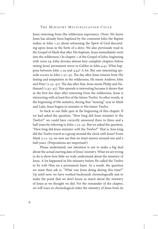Jesus returning from His wilderness experience. (Note: We know Jesus has already been baptized by the comment John the Baptist makes in John 1:32 about witnessing the Spirit of God descending upon Jesus in the form of a dove. We also previously read in the Gospel of Mark that after His baptism, Jesus immediately went into the wilderness.) In chapter 1 of the Gospel of John, beginning with verse 29, John devotes almost four complete chapters before noting Jesus' permanent move to Galilee in John 4:43. What happens between John 1:29 and 4:43? A lot. But one interesting episode occurs in John 1:35–45. The day after Jesus returns from His fasting and temptation in the wilderness, He meets Andrew, John and Peter (1:35–42). The day after that, Jesus meets Philip and Nathanael (1:43–45). This episode is interesting because it shows that in the first few days after returning from the wilderness, Jesus is interacting with at least five of the future Twelve. In other words, at the beginning of His ministry, during that "missing" year in Mark and Luke, Jesus begins to minister *to* His future Twelve.

So back to our little quiz at the beginning of this chapter. If we had asked the question, "How long did Jesus minister *to* the Twelve?" we could have correctly answered three to three and a half years by referring to John 1:35-45. But we asked the question, "How long did Jesus minister *with* the Twelve?" That is, how long did the Twelve travel as a group around the clock with Jesus? From Mark 3:13–19, we now see that we must answer around one and a half years. (Prepositions are important!)

Please understand, our intention is not to make a big deal about the actual starting date of Jesus' ministry. What we are trying to do is show how little we truly understand about the ministry of Jesus. A lot happened in His ministry before He called the Twelve to be *with* Him on a permanent basis. As a result, the question we must then ask is, "What was Jesus doing during this time?" Up until now, we have worked backwards chronologically just to make the point that we don't know as much about the ministry of Jesus as we thought we did. For the remainder of the chapter, we will trace in chronological order the ministry of Jesus from its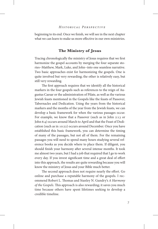beginning to its end. Once we finish, we will see in the next chapter what we can learn to make us more effective in our own ministries.

## **The Ministry of Jesus**

Tracing chronologically the ministry of Jesus requires that we first harmonize the gospel accounts by merging the four separate stories−Matthew, Mark, Luke, and John−into one seamless narrative. Two basic approaches exist for harmonizing the gospels. One is quite involved but very rewarding; the other is relatively easy, but still very rewarding.

The first approach requires that we identify all the historical markers in the four gospels such as references to the reign of Augustus Caesar or the administration of Pilate, as well as the various Jewish feasts mentioned in the Gospels like the feasts of Passover, Tabernacles and Dedication. Using the years from the historical markers and the months of the year from the Jewish feasts, we can develop a basic framework for when the various passages occur. For example, we know that a Passover (such as in John 2:13 or John 6:4) occurs around March to April and that the Feast of Dedication (such as in 10:22) occurs around December. Once you have established this basic framework, you can determine the timing of many of the passages, but not all of them. For the remaining passages you will need to spend many hours studying several reference books as you decide where to place them. If diligent, you should finish your harmony after several intense months. It took me almost two years, but I had a job that required that I go to work every day. If you invest significant time and a great deal of effort into this approach, the results are quite rewarding because you will know the ministry of Jesus and your Bible much better.

The second approach does not require nearly the effort. Go online and purchase a reputable harmony of the gospels. I recommend Robert L. Thomas and Stanley N. Gundry's *A Harmony of the Gospels*. This approach is also rewarding; it saves you much time because others have spent lifetimes seeking to develop a credible timeline.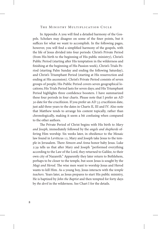In Appendix A you will find a detailed harmony of the Gospels. Scholars may disagree on some of the finer points, but it suffices for what we want to accomplish. In the following pages, however, you will find a simplified harmony of the gospels, with the life of Jesus divided into four periods: Christ's Private Period (from His birth to the beginning of His public ministry), Christ's Public Period (starting after His temptation in the wilderness and finishing at the beginning of His Passion week), Christ's Trials Period (starting Palm Sunday and ending the following Saturday), and Christ's Triumphant Period (starting at His resurrection and ending at His ascension). Christ's Private Period consists of seven groups of people; His Public Period covers seven geographical locations; His Trials Period lasts for seven days; and His Triumphant Period highlights three confidence boosters. I have summarized these four periods in four charts. Please note that I prefer an AD 30 date for the crucifixion. If you prefer an AD 33 crucifixion date, just add three years to the dates in Charts II, III and IV. Also note that Matthew tends to arrange his content topically, rather than chronologically, making it seem a bit confusing when compared to the other authors.

The Private Period of Christ begins with His birth to *Mary and Joseph*, immediately followed by the *angels and shepherds* offering Him worship. Six weeks later, in obedience to the Mosaic law found in Leviticus 12, Mary and Joseph take Jesus to the temple in Jerusalem. There *Simeon and Anna* honor baby Jesus. Luke 2:39 tells us that after Mary and Joseph "performed everything according to the Law of the Lord, they returned to Galilee, to their own city of Nazareth." Apparently they later return to Bethlehem, perhaps to be closer to the temple, but soon Jesus is sought by the *Magi and Herod*. The wise men want to worship Jesus and Herod wants to kill Him. As a young boy, Jesus interacts with the *temple teachers*. Years later, as Jesus prepares to start His public ministry, He is baptized by *John the Baptist* and then tempted for forty days by *the devil* in the wilderness. See Chart I for the details.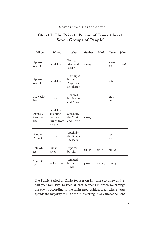## **Chart I: The Private Period of Jesus Christ (Seven Groups of People)**

| When                          | Where                                                         | What                                           | <b>Matthew</b> | Mark       | Luke          | John     |
|-------------------------------|---------------------------------------------------------------|------------------------------------------------|----------------|------------|---------------|----------|
| Approx.<br>$6-4$ BC           | Bethlehem                                                     | Born to<br>Mary and<br>Joseph                  | $1:1-25$       |            | $1:1-$<br>2:7 | $1:1-18$ |
| Approx.<br>6–4 BC             | Bethlehem                                                     | Worshiped<br>by the<br>Angels and<br>Shepherds |                |            | $2:8 - 20$    |          |
| Six weeks<br>later            | Jerusalem                                                     | Honored<br>by Simeon<br>and Anna               |                |            | $2:21-$<br>40 |          |
| Approx.<br>two years<br>later | Bethlehem,<br>assuming<br>they re-<br>turned from<br>Nazareth | Sought by<br>the Magi<br>and Herod             | $2:1 - 23$     |            |               |          |
| Around<br>AD $6-8$            | Jerusalem                                                     | Taught by<br>the Temple<br>Teachers            |                |            | $2:41-$<br>52 |          |
| Late AD<br>26                 | Jordan<br>River                                               | Baptized<br>by John                            | $3:1-17$       | $1:1 - 11$ | $3:1 - 22$    |          |
| Late AD<br>26                 | Wilderness                                                    | Tempted<br>by the<br>Devil                     | $4:1 - 11$     | $1:12-13$  | $4:1-13$      |          |

The Public Period of Christ focuses on His three to three-and-ahalf-year ministry. To keep all that happens in order, we arrange the events according to the main geographical areas where Jesus spends the majority of His time ministering. Many times the Lord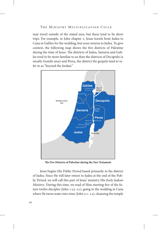may travel outside of the stated area, but these tend to be short trips. For example, in John chapter 2, Jesus travels from Judea to Cana in Galilee for the wedding, but soon returns to Judea. To give context, the following map shows the five districts of Palestine during the time of Jesus. The districts of Judea, Samaria and Galilee tend to be more familiar to us than the districts of Decapolis (a mostly Gentile area) and Perea, the district the gospels tend to refer to as "beyond the Jordan."



**The Five Districts of Palestine during the New Testament**

Jesus begins His Public Period based primarily in the district of Judea. Since He will later return to Judea at the end of the Public Period, we will call this part of Jesus' ministry His *Early Judean Ministry*. During this time, we read of Him meeting five of the future twelve disciples (John 1:35–51), going to the wedding in Cana where He turns water into wine (John 2:1–12), cleansing the temple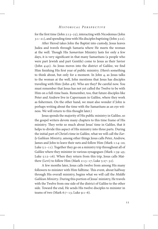for the first time (John 2:13–25), interacting with Nicodemus (John 3:1–21), and spending time with His disciples baptizing (John 3:22).

After Herod takes John the Baptist into custody, Jesus leaves Judea and travels through Samaria where He meets the woman at the well. Though His *Samaritan* Ministry lasts for only a few days, it is very significant in that many Samaritans (a people who were part Jewish and part Gentile) come to Jesus as their Savior (John 4:42). As Jesus moves into the district of Galilee, we find Him finishing His first year of public ministry. (Here's something to think about, but only for a moment. In John 4, as Jesus talks to the woman at the well, John mentions that Jesus has disciples traveling with Him (John 4:8). Who are they? Be careful now. You must remember that Jesus has not yet called the Twelve to be with Him on a full-time basis. Remember, too, that future disciples like Peter and Andrew live in Capernaum in Galilee, where they work as fishermen. On the other hand, we must also wonder if John is perhaps writing about the time with the Samaritans as an eye witness. We will return to this thought later.)

Jesus spends the majority of His public ministry in Galilee, so the gospel writers devote many chapters to this time frame of His ministry. They write so much about Jesus' time in Galilee, that it helps to divide this aspect of His ministry into three parts. During the initial part of Christ's time in Galilee, what we will call the *Early Galilean Ministry*, among other things Jesus calls Peter, Andrew, James and John to leave their nets and follow Him (Mark 1:14–20; Luke  $5:1-11$ ). Together they go on a ministry trip throughout all of Galilee where they minister in various synagogues (Mark 1:39–45; Luke 5:12–16). When they return from this trip, Jesus calls Matthew (Levi) to follow Him (Mark 2:13–17; Luke  $5:27-32$ ).

A few months later, Jesus calls twelve from among His many followers to minister with Him fulltime. This event, about halfway through His overall ministry, begins what we will call the *Middle Galilean Ministry*. During this portion of Jesus' ministry, He travels with the Twelve from one side of the district of Galilee to the other side. Toward the end, He sends His twelve disciples to minister in teams of two (Mark 6:7–13; Luke 9:1–6).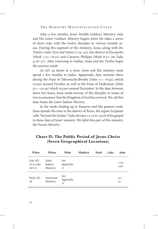After a few months, Jesus' Middle Galilean Ministry ends and His *Latter Galilean Ministry* begins when He takes a series of short trips with the twelve disciples to various Gentile areas. During this segment of His ministry, Jesus, along with the Twelve, visits Tyre and Sidon (7:24–30), the district of Decapolis (Mark 7:31—8:10) and Caesarea Philippi (Mark 8:27–38; Luke 9:18–27). After returning to Galilee, Jesus and the Twelve begin the journey south.

As AD 29 draws to a close, Jesus and His ministry team spend a few months in Judea. Apparently, they minister there during the Feast of Tabernacles/Booths (John 7:1—8:59), which occurs around October as well as the Feast of Dedication (John 9:1—10:39) which occurs around December. In the days between these two feasts, Jesus sends seventy of His disciples in teams of two to announce that the Kingdom of God has arrived. We call this time frame the *Latter Judean Ministry*.

In the weeks leading up to Passover and His passion week, Jesus spends His time in the district of Perea, the region Scripture calls "beyond the Jordan." Luke devotes 13:22 to 19:28 of his gospel to these days of Jesus' ministry. We label this part of His ministry the *Perean Ministry*.

| When                          | Where                       | What                 | <b>Matthew</b> | Mark | Luke | <b>John</b>     |
|-------------------------------|-----------------------------|----------------------|----------------|------|------|-----------------|
| Late AD<br>26 to Late<br>AD27 | Early<br>Judean<br>Ministry | See<br>Appendix<br>A |                |      |      | $1:19-$<br>3:36 |
| Early AD<br>28                | Samaritan<br>Ministry       | See<br>Appendix<br>А |                |      |      | $4:1 -$<br>42   |

## **Chart II: The Public Period of Jesus Christ (Seven Geographical Locations)**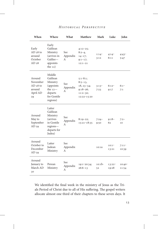| When                                                        | Where                                                                                                 | What                 | <b>Matthew</b>                                                                       | Mark            | Luke              | John              |
|-------------------------------------------------------------|-------------------------------------------------------------------------------------------------------|----------------------|--------------------------------------------------------------------------------------|-----------------|-------------------|-------------------|
| Early<br>$AD28$ to<br>around<br>October<br>AD <sub>28</sub> | Early<br>Galilean<br>Ministry<br>(arrives in<br>Galilee-<br>appoints<br>the $12)$                     | See<br>Appendix<br>A | $4:12-25;$<br>$8:2-4,$<br>$14 - 17;$<br>$9:1-17;$<br>$12:1 - 21$                     | $1:14-$<br>3:12 | $4:14^-$<br>6:11  | $4:43-$<br>5:47   |
| Around<br>November<br>$AD28$ to<br>around<br>April AD<br>29 | Middle<br>Galilean<br>Ministry<br>(appoints)<br>the $12-$<br>departs<br>for Gentile<br>regions)       | See<br>Appendix<br>А | $5:1-8:1;$<br>$8:5-13,$<br>$18, 23 - 34;$<br>$9:18-26;$<br>$11:2-30;$<br>12:22-15:20 | $3:13-$<br>7:23 | $6:12-$<br>9:17   | $6:1 -$<br>7:1    |
| Around<br>May to<br>September<br>AD 29                      | Latter<br>Galilean<br>Ministry<br><i>(arrives)</i><br>in Gentile<br>regions-<br>departs for<br>Judea) | See<br>Appendix<br>А | $8:19-22;$<br>15:21-18:35                                                            | $7:24-$<br>9:50 | $9:18-$<br>62     | $7:2-$<br>10      |
| Around<br>October to<br>December<br>AD <sub>29</sub>        | Latter<br>Judean<br>Ministry                                                                          | See<br>Appendix<br>А |                                                                                      | 10:1a           | $10:1 -$<br>13:21 | $7:11-$<br>10:39  |
| Around<br>January to<br>March AD<br>30                      | Perean<br>Ministry                                                                                    | See<br>Appendix<br>А | 19:1-20:34;<br>$26:6 - 13$                                                           | $10:1b-$<br>52  | 13:22-<br>19:28   | $10:40-$<br>11:54 |

We identified the final week in the ministry of Jesus as the Trials Period of Christ due to all of His suffering. The gospel writers allocate almost one third of their chapters to these seven days. It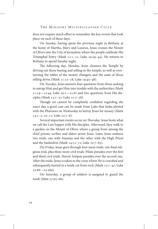does not require much effort to remember the key events that took place on each of these days.

On *Sunday*, having spent the previous night in Bethany at the home of Martha, Mary and Lazarus, Jesus crosses the Mount of Olives into the City of Jerusalem where the people celebrate His Triumphal Entry (Mark 11:1–11; Luke 19:29–44). He returns to Bethany to spend Sunday night.

The following day, *Monday*, Jesus cleanses the Temple by driving out those buying and selling in the temple, as well as overturning the tables of the money changers and the seats of those selling doves (Mark 11:12–18; Luke 19:45–48).

On *Tuesday*, Jesus answers four questions from those seeking to entrap Him and get Him into trouble with the authorities (Mark  $11:19 - 12:44$ ; Luke  $20:1 - 21:6$ ) and two questions from His disciples (Mark 13:1–37; Luke 21:7–38).

Though we cannot be completely confident regarding the exact day, a good case can be made from Luke that Judas plotted with the Pharisees on *Wednesday* to betray Jesus for money (Mark 14:1–2, 10–11; Luke 22:1–6).

Several important events occur on *Thursday*. Jesus hosts what we call the Last Supper with His disciples. Afterward, they walk to a garden on the Mount of Olives where a group from among the chief priests, scribes and elders arrest Jesus. Later, Jesus endures two trials, one with Ananias and the other with the High Priest and the Sanhedrin (Mark 14:12–72; Luke 22:7–65).

On *Friday*, Jesus goes through four more trials: one final religious trial, plus three more civil trials. Pilate presides over the first and third civil trials. Herod Antipas presides over the second one. After the trials, Jesus is taken to the cross where He is crucified and subsequently buried in a tomb cut from rock (Mark 15:1–47; Luke  $22:66 - 23:56a$ ).

On *Saturday*, a group of soldiers is assigned to guard the tomb (Matt 27:62–66).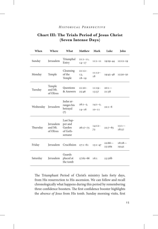## **Chart III: The Trials Period of Jesus Christ (Seven Intense Days)**

| When                | Where                             | What                                                 | <b>Matthew</b>               | Mark                   | Luke               | John              |
|---------------------|-----------------------------------|------------------------------------------------------|------------------------------|------------------------|--------------------|-------------------|
| Sunday              | Jerusalem                         | Triumphal<br>Entry                                   | $21:1-11,$<br>$14 - 17$      | $11:1 - 11$            | $19:29 - 44$       | $12:12-19$        |
| Monday              | Temple                            | Cleansing<br>of the<br>Temple                        | $21:12-$<br>13,<br>$18 - 19$ | $11:12-$<br>18         | $19:45 - 48$       | $12:20 - 50$      |
| Tuesday             | Temple<br>and Mt.<br>of Olives    | Questions<br>& Answers                               | $21:20 -$<br>25:46           | $11:19-$<br>13:37      | $20:1 -$<br>21:38  |                   |
| Wednesday Jerusalem |                                   | Judas ar-<br>ranges his<br>betrayal<br>(3)           | $26:1-5,$<br>$14 - 16$       | $14:1-2,$<br>$10 - 11$ | $22:1-6$           |                   |
| Thursday            | Jerusalem<br>and Mt.<br>of Olives | Last Sup-<br>per and<br>Garden<br>of Geth-<br>semane | $26:17 - 75$                 | $14:12-$<br>72         | $22:7-65$          | $13:1 -$<br>18:27 |
| Friday              | Jerusalem                         | Crucifixion                                          | $27:1-61$                    | $15:1-47$              | $22:66-$<br>23:56a | $18:28-$<br>19:42 |
| Saturday            | Jerusalem                         | Guards<br>placed at<br>the tomb                      | $27:62 - 66$                 | 16:1                   | 23:56b             |                   |

The Triumphant Period of Christ's ministry lasts forty days, from His resurrection to His ascension. We can follow and recall chronologically what happens during this period by remembering three confidence boosters. The first confidence booster highlights the *absence of Jesus* from His tomb. Sunday morning visits, first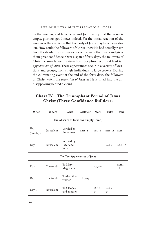by the women, and later Peter and John, verify that the grave is empty, glorious good news indeed. Yet the initial reaction of the women is the suspicion that the body of Jesus may have been stolen. How could the followers of Christ know He had actually risen from the dead? The next series of events quells their fears and gives them great confidence. Over a span of forty days, the followers of Christ personally see the risen Lord. Scripture records at least *ten appearances of Jesus*. These appearances occur in a variety of locations and groups, from single individuals to large crowds. During the culminating event at the end of the forty days, the followers of Christ watch the *ascension of Jesus* as He is lifted into the air, disappearing behind a cloud.

## **Chart IV—The Triumphant Period of Jesus Christ (Three Confidence Builders)**

| When                                 | Where<br>What |                                  | <b>Matthew</b> | Mark           | Luke           | John           |  |
|--------------------------------------|---------------|----------------------------------|----------------|----------------|----------------|----------------|--|
| The Absence of Jesus (An Empty Tomb) |               |                                  |                |                |                |                |  |
| Day 1<br>(Sunday)                    | Jerusalem     | Verified by<br>the women         | $28:1 - 8$     | $16:1 - 8$     | $24:1 - 11$    | 20:1           |  |
| Day 1                                | Jerusalem     | Verified by<br>Peter and<br>John |                |                | 24:12          | $20:2 - 10$    |  |
|                                      |               | The Ten Appearances of Jesus     |                |                |                |                |  |
| Day 1                                | The tomb      | To Mary<br>Magdalene             |                | $16:9-11$      |                | $20:11-$<br>18 |  |
| Day 1                                | The tomb      | To the other<br>women            | $28:9-15$      |                |                |                |  |
| Day 1                                | Jerusalem     | To Cleopas<br>and another        |                | $16:12-$<br>13 | $24:13-$<br>33 |                |  |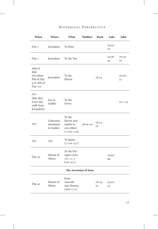| When                                                                | Where                             | What                                                               | <b>Matthew</b> | Mark           | Luke           | John           |
|---------------------------------------------------------------------|-----------------------------------|--------------------------------------------------------------------|----------------|----------------|----------------|----------------|
| Day 1                                                               | Jerusalem                         | To Peter                                                           |                |                | $24:34-$<br>35 |                |
| Day 1                                                               | Jerusalem                         | To the Ten                                                         |                |                | $24:36-$<br>43 | $20:19-$<br>25 |
| After 8<br>days<br>(So either<br>PM of Day<br>9 or AM of<br>Day 10) | Jerusalem                         | To the<br>Eleven                                                   |                | 16:14          |                | $20:26-$<br>31 |
| \$\$\$\$<br>(But after<br>a two day<br>walk from<br>Jerusalem)      | Sea of<br>Galilee                 | To the<br>Seven                                                    |                |                |                | $21:1-25$      |
| \$\$\$\$                                                            | Unknown<br>mountain<br>in Galilee | To the<br>Eleven and<br>maybe to<br>500 others<br>$(1$ Cor $15:6)$ | $28:16 - 20$   | $16:15-$<br>18 |                |                |
| \$\$\$\$                                                            | \$\$\$\$                          | To James<br>$(1$ Cor $15:7)$                                       |                |                |                |                |
| Day 40                                                              | Mount of<br>Olives                | To the Dis-<br>ciples (Acts<br>$1:6-11,1$<br>Cor 15:7)             |                |                | $24:44-$<br>49 |                |
|                                                                     |                                   | The Ascension of Jesus                                             |                |                |                |                |
| Day 40                                                              | Mount of<br>Olives                | Jesus<br>Ascends<br>into Heaven<br>(Acts 1:11)                     |                | $16:19-$<br>20 | $24:50-$<br>53 |                |
|                                                                     |                                   |                                                                    |                |                |                |                |